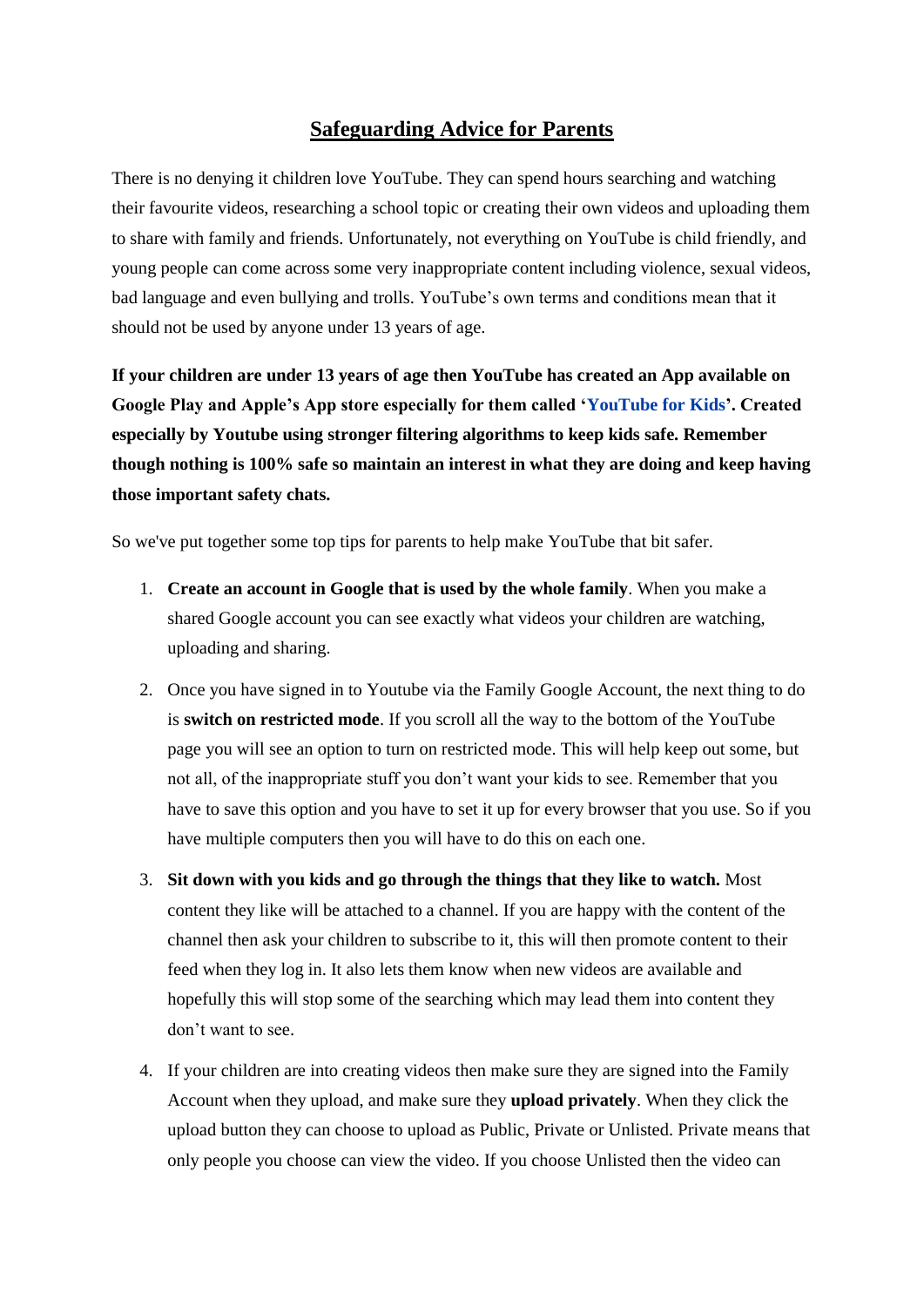## **Safeguarding Advice for Parents**

There is no denying it children love YouTube. They can spend hours searching and watching their favourite videos, researching a school topic or creating their own videos and uploading them to share with family and friends. Unfortunately, not everything on YouTube is child friendly, and young people can come across some very inappropriate content including violence, sexual videos, bad language and even bullying and trolls. YouTube's own terms and conditions mean that it should not be used by anyone under 13 years of age.

**If your children are under 13 years of age then YouTube has created an App available on Google Play and Apple's App store especially for them called ['YouTube](https://kids.youtube.com/) for Kids'. Created especially by Youtube using stronger filtering algorithms to keep kids safe. Remember though nothing is 100% safe so maintain an interest in what they are doing and keep having those important safety chats.**

So we've put together some top tips for parents to help make YouTube that bit safer.

- 1. **Create an account in Google that is used by the whole family**. When you make a shared Google account you can see exactly what videos your children are watching, uploading and sharing.
- 2. Once you have signed in to Youtube via the Family Google Account, the next thing to do is **switch on restricted mode**. If you scroll all the way to the bottom of the YouTube page you will see an option to turn on restricted mode. This will help keep out some, but not all, of the inappropriate stuff you don't want your kids to see. Remember that you have to save this option and you have to set it up for every browser that you use. So if you have multiple computers then you will have to do this on each one.
- 3. **Sit down with you kids and go through the things that they like to watch.** Most content they like will be attached to a channel. If you are happy with the content of the channel then ask your children to subscribe to it, this will then promote content to their feed when they log in. It also lets them know when new videos are available and hopefully this will stop some of the searching which may lead them into content they don't want to see.
- 4. If your children are into creating videos then make sure they are signed into the Family Account when they upload, and make sure they **upload privately**. When they click the upload button they can choose to upload as Public, Private or Unlisted. Private means that only people you choose can view the video. If you choose Unlisted then the video can